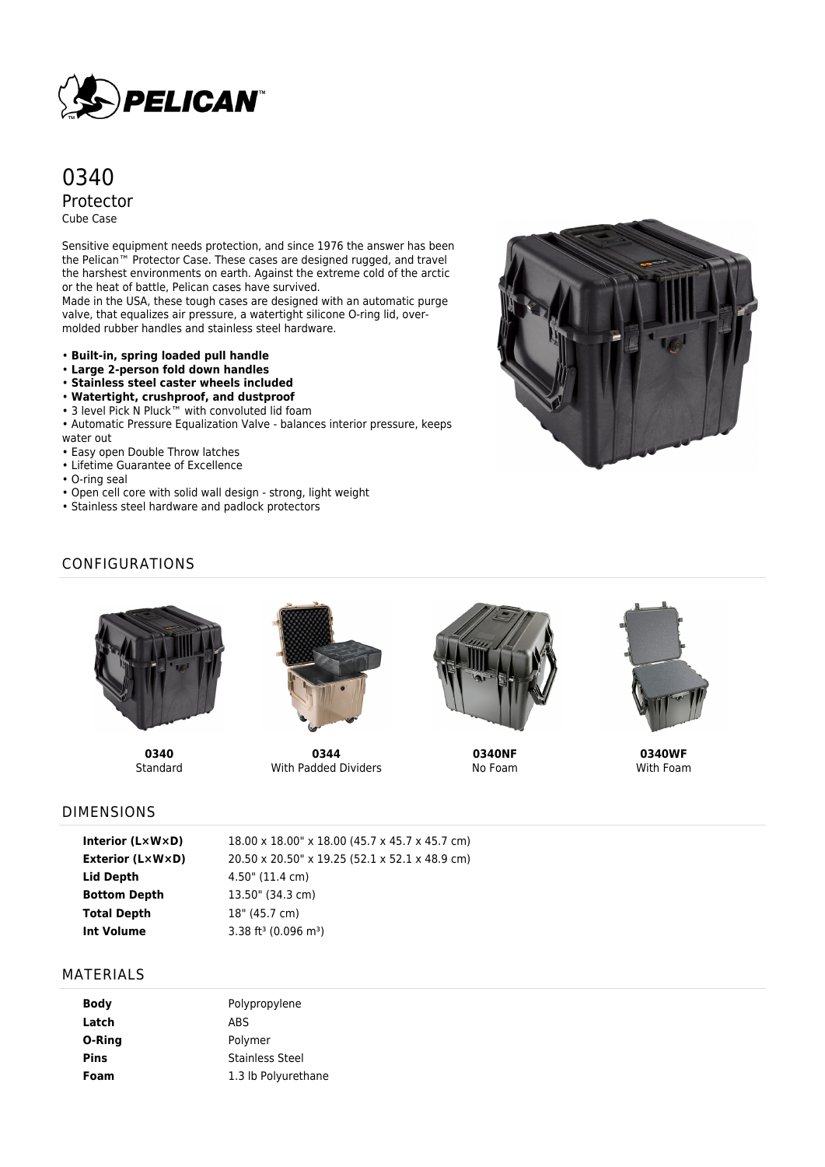

# 0340 Protector Cube Case

Sensitive equipment needs protection, and since 1976 the answer has been the Pelican™ Protector Case. These cases are designed rugged, and travel the harshest environments on earth. Against the extreme cold of the arctic or the heat of battle, Pelican cases have survived.

Made in the USA, these tough cases are designed with an automatic purge valve, that equalizes air pressure, a watertight silicone O-ring lid, overmolded rubber handles and stainless steel hardware.

- **Built-in, spring loaded pull handle**
- **Large 2-person fold down handles**
- **Stainless steel caster wheels included**
- **Watertight, crushproof, and dustproof**
- 3 level Pick N Pluck™ with convoluted lid foam
- Automatic Pressure Equalization Valve balances interior pressure, keeps
- water out • Easy open Double Throw latches
- Lifetime Guarantee of Excellence
- O-ring seal
- Open cell core with solid wall design strong, light weight
- Stainless steel hardware and padlock protectors



# CONFIGURATIONS



**0340 Standard** 



**0344** With Padded Dividers



**0340NF** No Foam



**0340WF** With Foam

#### DIMENSIONS

| Interior (L×W×D)        |
|-------------------------|
| <b>Exterior (LxWxD)</b> |
| Lid Depth               |
| <b>Bottom Depth</b>     |
| <b>Total Depth</b>      |
| Int Volume              |

18.00 x 18.00" x 18.00 (45.7 x 45.7 x 45.7 cm) **Exterior (L×W×D)** 20.50 x 20.50" x 19.25 (52.1 x 52.1 x 48.9 cm) **Lid Depth** 4.50" (11.4 cm) **Bottom Depth** 13.50" (34.3 cm) **Total Depth** 18" (45.7 cm) 3.38 ft<sup>3</sup> (0.096 m<sup>3</sup>)

#### MATERIALS

| <b>Body</b> | Polypropylene          |
|-------------|------------------------|
| Latch       | <b>ABS</b>             |
| O-Ring      | Polymer                |
| <b>Pins</b> | <b>Stainless Steel</b> |
| Foam        | 1.3 lb Polyurethane    |
|             |                        |